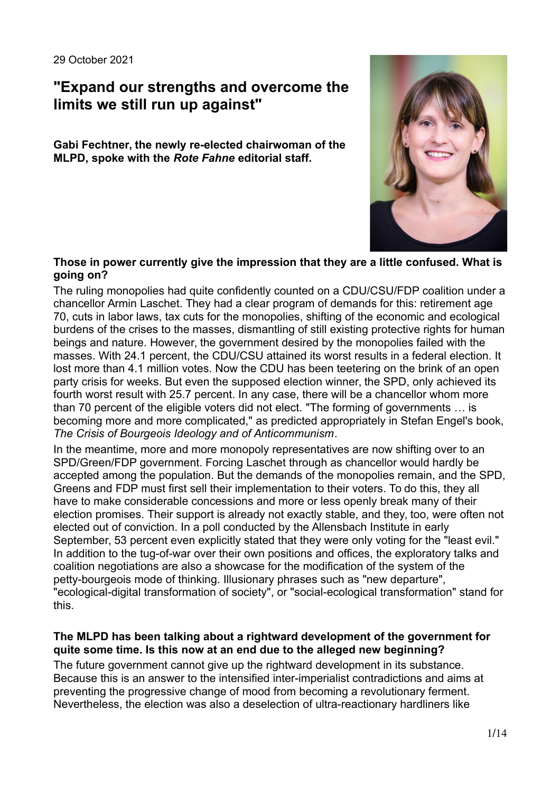# **"Expand our strengths and overcome the limits we still run up against"**

**Gabi Fechtner, the newly re-elected chairwoman of the MLPD, spoke with the** *Rote Fahne* **editorial staff.**



#### **Those in power currently give the impression that they are a little confused. What is going on?**

The ruling monopolies had quite confidently counted on a CDU/CSU/FDP coalition under a chancellor Armin Laschet. They had a clear program of demands for this: retirement age 70, cuts in labor laws, tax cuts for the monopolies, shifting of the economic and ecological burdens of the crises to the masses, dismantling of still existing protective rights for human beings and nature. However, the government desired by the monopolies failed with the masses. With 24.1 percent, the CDU/CSU attained its worst results in a federal election. It lost more than 4.1 million votes. Now the CDU has been teetering on the brink of an open party crisis for weeks. But even the supposed election winner, the SPD, only achieved its fourth worst result with 25.7 percent. In any case, there will be a chancellor whom more than 70 percent of the eligible voters did not elect. "The forming of governments … is becoming more and more complicated," as predicted appropriately in Stefan Engel's book, *The Crisis of Bourgeois Ideology and of Anticommunism*.

In the meantime, more and more monopoly representatives are now shifting over to an SPD/Green/FDP government. Forcing Laschet through as chancellor would hardly be accepted among the population. But the demands of the monopolies remain, and the SPD, Greens and FDP must first sell their implementation to their voters. To do this, they all have to make considerable concessions and more or less openly break many of their election promises. Their support is already not exactly stable, and they, too, were often not elected out of conviction. In a poll conducted by the Allensbach Institute in early September, 53 percent even explicitly stated that they were only voting for the "least evil." In addition to the tug-of-war over their own positions and offices, the exploratory talks and coalition negotiations are also a showcase for the modification of the system of the petty-bourgeois mode of thinking. Illusionary phrases such as "new departure", "ecological-digital transformation of society", or "social-ecological transformation" stand for this.

## **The MLPD has been talking about a rightward development of the government for quite some time. Is this now at an end due to the alleged new beginning?**

The future government cannot give up the rightward development in its substance. Because this is an answer to the intensified inter-imperialist contradictions and aims at preventing the progressive change of mood from becoming a revolutionary ferment. Nevertheless, the election was also a deselection of ultra-reactionary hardliners like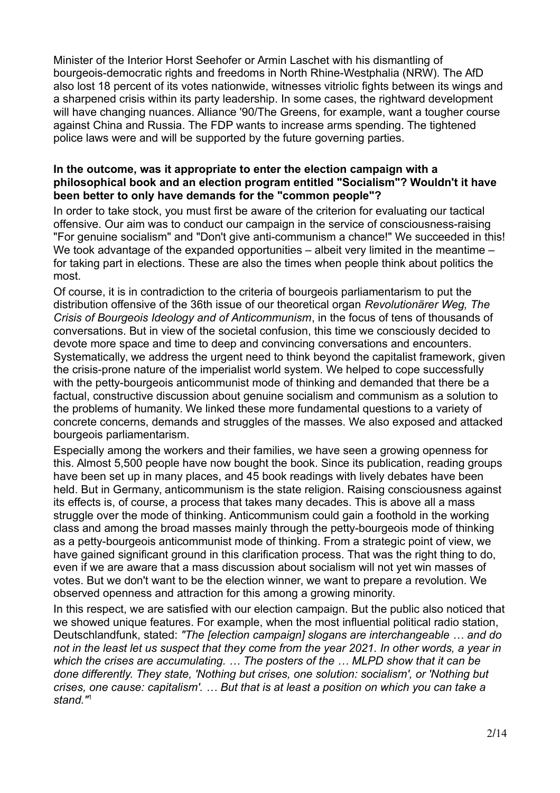Minister of the Interior Horst Seehofer or Armin Laschet with his dismantling of bourgeois-democratic rights and freedoms in North Rhine-Westphalia (NRW). The AfD also lost 18 percent of its votes nationwide, witnesses vitriolic fights between its wings and a sharpened crisis within its party leadership. In some cases, the rightward development will have changing nuances. Alliance '90/The Greens, for example, want a tougher course against China and Russia. The FDP wants to increase arms spending. The tightened police laws were and will be supported by the future governing parties.

## **In the outcome, was it appropriate to enter the election campaign with a philosophical book and an election program entitled "Socialism"? Wouldn't it have been better to only have demands for the "common people"?**

In order to take stock, you must first be aware of the criterion for evaluating our tactical offensive. Our aim was to conduct our campaign in the service of consciousness-raising "For genuine socialism" and "Don't give anti-communism a chance!" We succeeded in this! We took advantage of the expanded opportunities – albeit very limited in the meantime – for taking part in elections. These are also the times when people think about politics the most.

Of course, it is in contradiction to the criteria of bourgeois parliamentarism to put the distribution offensive of the 36th issue of our theoretical organ *Revolutionärer Weg, The Crisis of Bourgeois Ideology and of Anticommunism*, in the focus of tens of thousands of conversations. But in view of the societal confusion, this time we consciously decided to devote more space and time to deep and convincing conversations and encounters. Systematically, we address the urgent need to think beyond the capitalist framework, given the crisis-prone nature of the imperialist world system. We helped to cope successfully with the petty-bourgeois anticommunist mode of thinking and demanded that there be a factual, constructive discussion about genuine socialism and communism as a solution to the problems of humanity. We linked these more fundamental questions to a variety of concrete concerns, demands and struggles of the masses. We also exposed and attacked bourgeois parliamentarism.

Especially among the workers and their families, we have seen a growing openness for this. Almost 5,500 people have now bought the book. Since its publication, reading groups have been set up in many places, and 45 book readings with lively debates have been held. But in Germany, anticommunism is the state religion. Raising consciousness against its effects is, of course, a process that takes many decades. This is above all a mass struggle over the mode of thinking. Anticommunism could gain a foothold in the working class and among the broad masses mainly through the petty-bourgeois mode of thinking as a petty-bourgeois anticommunist mode of thinking. From a strategic point of view, we have gained significant ground in this clarification process. That was the right thing to do, even if we are aware that a mass discussion about socialism will not yet win masses of votes. But we don't want to be the election winner, we want to prepare a revolution. We observed openness and attraction for this among a growing minority.

In this respect, we are satisfied with our election campaign. But the public also noticed that we showed unique features. For example, when the most influential political radio station, Deutschlandfunk, stated: *"The [election campaign] slogans are interchangeable … and do not in the least let us suspect that they come from the year 2021. In other words, a year in which the crises are accumulating. … The posters of the … MLPD show that it can be done differently. They state, 'Nothing but crises, one solution: socialism', or 'Nothing but crises, one cause: capitalism'. … But that is at least a position on which you can take a stand."*<sup>1</sup>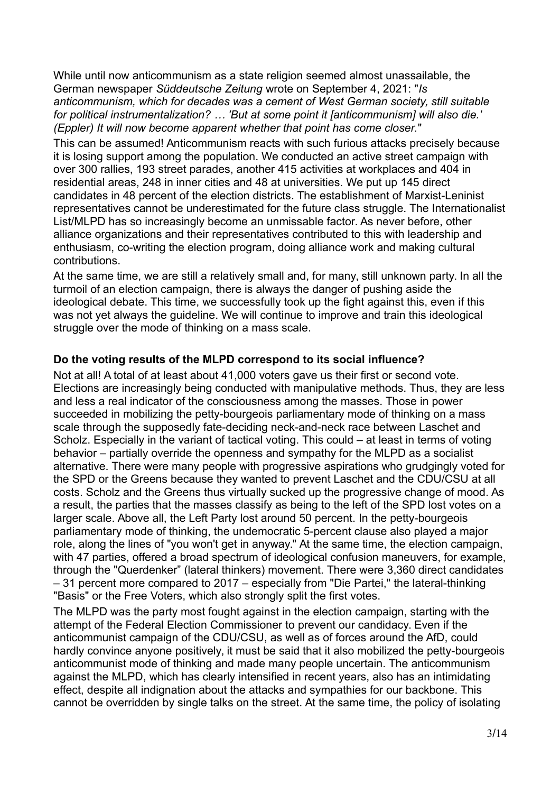While until now anticommunism as a state religion seemed almost unassailable, the German newspaper *Süddeutsche Zeitung* wrote on September 4, 2021: "*Is anticommunism, which for decades was a cement of West German society, still suitable for political instrumentalization? … 'But at some point it [anticommunism] will also die.' (Eppler) It will now become apparent whether that point has come closer.*"

This can be assumed! Anticommunism reacts with such furious attacks precisely because it is losing support among the population. We conducted an active street campaign with over 300 rallies, 193 street parades, another 415 activities at workplaces and 404 in residential areas, 248 in inner cities and 48 at universities. We put up 145 direct candidates in 48 percent of the election districts. The establishment of Marxist-Leninist representatives cannot be underestimated for the future class struggle. The Internationalist List/MLPD has so increasingly become an unmissable factor. As never before, other alliance organizations and their representatives contributed to this with leadership and enthusiasm, co-writing the election program, doing alliance work and making cultural contributions.

At the same time, we are still a relatively small and, for many, still unknown party. In all the turmoil of an election campaign, there is always the danger of pushing aside the ideological debate. This time, we successfully took up the fight against this, even if this was not yet always the guideline. We will continue to improve and train this ideological struggle over the mode of thinking on a mass scale.

## **Do the voting results of the MLPD correspond to its social influence?**

Not at all! A total of at least about 41,000 voters gave us their first or second vote. Elections are increasingly being conducted with manipulative methods. Thus, they are less and less a real indicator of the consciousness among the masses. Those in power succeeded in mobilizing the petty-bourgeois parliamentary mode of thinking on a mass scale through the supposedly fate-deciding neck-and-neck race between Laschet and Scholz. Especially in the variant of tactical voting. This could – at least in terms of voting behavior – partially override the openness and sympathy for the MLPD as a socialist alternative. There were many people with progressive aspirations who grudgingly voted for the SPD or the Greens because they wanted to prevent Laschet and the CDU/CSU at all costs. Scholz and the Greens thus virtually sucked up the progressive change of mood. As a result, the parties that the masses classify as being to the left of the SPD lost votes on a larger scale. Above all, the Left Party lost around 50 percent. In the petty-bourgeois parliamentary mode of thinking, the undemocratic 5-percent clause also played a major role, along the lines of "you won't get in anyway." At the same time, the election campaign, with 47 parties, offered a broad spectrum of ideological confusion maneuvers, for example, through the "Querdenker" (lateral thinkers) movement. There were 3,360 direct candidates – 31 percent more compared to 2017 – especially from "Die Partei," the lateral-thinking "Basis" or the Free Voters, which also strongly split the first votes.

The MLPD was the party most fought against in the election campaign, starting with the attempt of the Federal Election Commissioner to prevent our candidacy. Even if the anticommunist campaign of the CDU/CSU, as well as of forces around the AfD, could hardly convince anyone positively, it must be said that it also mobilized the petty-bourgeois anticommunist mode of thinking and made many people uncertain. The anticommunism against the MLPD, which has clearly intensified in recent years, also has an intimidating effect, despite all indignation about the attacks and sympathies for our backbone. This cannot be overridden by single talks on the street. At the same time, the policy of isolating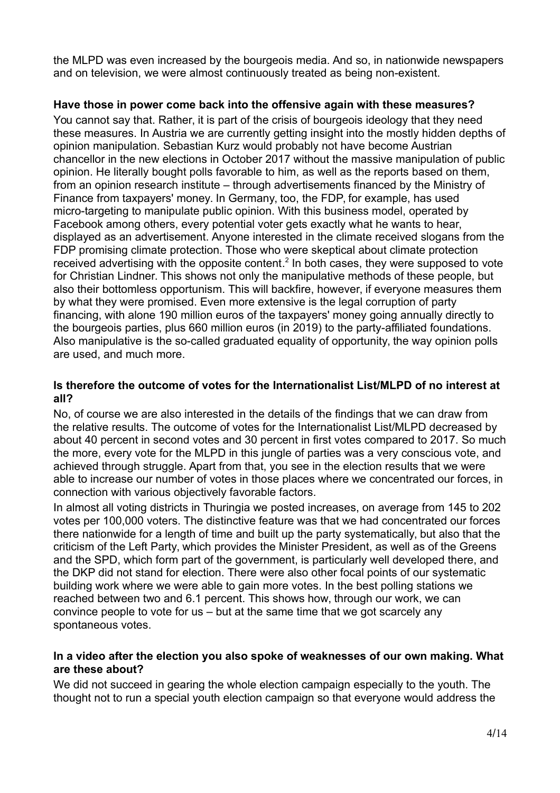the MLPD was even increased by the bourgeois media. And so, in nationwide newspapers and on television, we were almost continuously treated as being non-existent.

## **Have those in power come back into the offensive again with these measures?**

You cannot say that. Rather, it is part of the crisis of bourgeois ideology that they need these measures. In Austria we are currently getting insight into the mostly hidden depths of opinion manipulation. Sebastian Kurz would probably not have become Austrian chancellor in the new elections in October 2017 without the massive manipulation of public opinion. He literally bought polls favorable to him, as well as the reports based on them, from an opinion research institute – through advertisements financed by the Ministry of Finance from taxpayers' money. In Germany, too, the FDP, for example, has used micro-targeting to manipulate public opinion. With this business model, operated by Facebook among others, every potential voter gets exactly what he wants to hear, displayed as an advertisement. Anyone interested in the climate received slogans from the FDP promising climate protection. Those who were skeptical about climate protection received advertising with the opposite content.<sup>2</sup> In both cases, they were supposed to vote for Christian Lindner. This shows not only the manipulative methods of these people, but also their bottomless opportunism. This will backfire, however, if everyone measures them by what they were promised. Even more extensive is the legal corruption of party financing, with alone 190 million euros of the taxpayers' money going annually directly to the bourgeois parties, plus 660 million euros (in 2019) to the party-affiliated foundations. Also manipulative is the so-called graduated equality of opportunity, the way opinion polls are used, and much more.

## **Is therefore the outcome of votes for the Internationalist List/MLPD of no interest at all?**

No, of course we are also interested in the details of the findings that we can draw from the relative results. The outcome of votes for the Internationalist List/MLPD decreased by about 40 percent in second votes and 30 percent in first votes compared to 2017. So much the more, every vote for the MLPD in this jungle of parties was a very conscious vote, and achieved through struggle. Apart from that, you see in the election results that we were able to increase our number of votes in those places where we concentrated our forces, in connection with various objectively favorable factors.

In almost all voting districts in Thuringia we posted increases, on average from 145 to 202 votes per 100,000 voters. The distinctive feature was that we had concentrated our forces there nationwide for a length of time and built up the party systematically, but also that the criticism of the Left Party, which provides the Minister President, as well as of the Greens and the SPD, which form part of the government, is particularly well developed there, and the DKP did not stand for election. There were also other focal points of our systematic building work where we were able to gain more votes. In the best polling stations we reached between two and 6.1 percent. This shows how, through our work, we can convince people to vote for us – but at the same time that we got scarcely any spontaneous votes.

## **In a video after the election you also spoke of weaknesses of our own making. What are these about?**

We did not succeed in gearing the whole election campaign especially to the youth. The thought not to run a special youth election campaign so that everyone would address the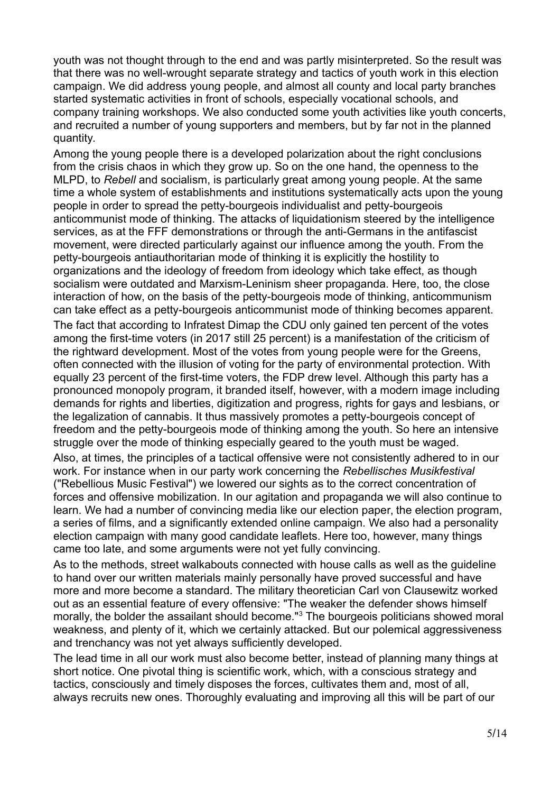youth was not thought through to the end and was partly misinterpreted. So the result was that there was no well-wrought separate strategy and tactics of youth work in this election campaign. We did address young people, and almost all county and local party branches started systematic activities in front of schools, especially vocational schools, and company training workshops. We also conducted some youth activities like youth concerts, and recruited a number of young supporters and members, but by far not in the planned quantity.

Among the young people there is a developed polarization about the right conclusions from the crisis chaos in which they grow up. So on the one hand, the openness to the MLPD, to *Rebell* and socialism, is particularly great among young people. At the same time a whole system of establishments and institutions systematically acts upon the young people in order to spread the petty-bourgeois individualist and petty-bourgeois anticommunist mode of thinking. The attacks of liquidationism steered by the intelligence services, as at the FFF demonstrations or through the anti-Germans in the antifascist movement, were directed particularly against our influence among the youth. From the petty-bourgeois antiauthoritarian mode of thinking it is explicitly the hostility to organizations and the ideology of freedom from ideology which take effect, as though socialism were outdated and Marxism-Leninism sheer propaganda. Here, too, the close interaction of how, on the basis of the petty-bourgeois mode of thinking, anticommunism can take effect as a petty-bourgeois anticommunist mode of thinking becomes apparent. The fact that according to Infratest Dimap the CDU only gained ten percent of the votes among the first-time voters (in 2017 still 25 percent) is a manifestation of the criticism of the rightward development. Most of the votes from young people were for the Greens, often connected with the illusion of voting for the party of environmental protection. With equally 23 percent of the first-time voters, the FDP drew level. Although this party has a pronounced monopoly program, it branded itself, however, with a modern image including demands for rights and liberties, digitization and progress, rights for gays and lesbians, or the legalization of cannabis. It thus massively promotes a petty-bourgeois concept of freedom and the petty-bourgeois mode of thinking among the youth. So here an intensive struggle over the mode of thinking especially geared to the youth must be waged. Also, at times, the principles of a tactical offensive were not consistently adhered to in our

work. For instance when in our party work concerning the *Rebellisches Musikfestival* ("Rebellious Music Festival") we lowered our sights as to the correct concentration of forces and offensive mobilization. In our agitation and propaganda we will also continue to learn. We had a number of convincing media like our election paper, the election program, a series of films, and a significantly extended online campaign. We also had a personality election campaign with many good candidate leaflets. Here too, however, many things came too late, and some arguments were not yet fully convincing.

As to the methods, street walkabouts connected with house calls as well as the guideline to hand over our written materials mainly personally have proved successful and have more and more become a standard. The military theoretician Carl von Clausewitz worked out as an essential feature of every offensive: "The weaker the defender shows himself morally, the bolder the assailant should become."<sup>3</sup> The bourgeois politicians showed moral weakness, and plenty of it, which we certainly attacked. But our polemical aggressiveness and trenchancy was not yet always sufficiently developed.

The lead time in all our work must also become better, instead of planning many things at short notice. One pivotal thing is scientific work, which, with a conscious strategy and tactics, consciously and timely disposes the forces, cultivates them and, most of all, always recruits new ones. Thoroughly evaluating and improving all this will be part of our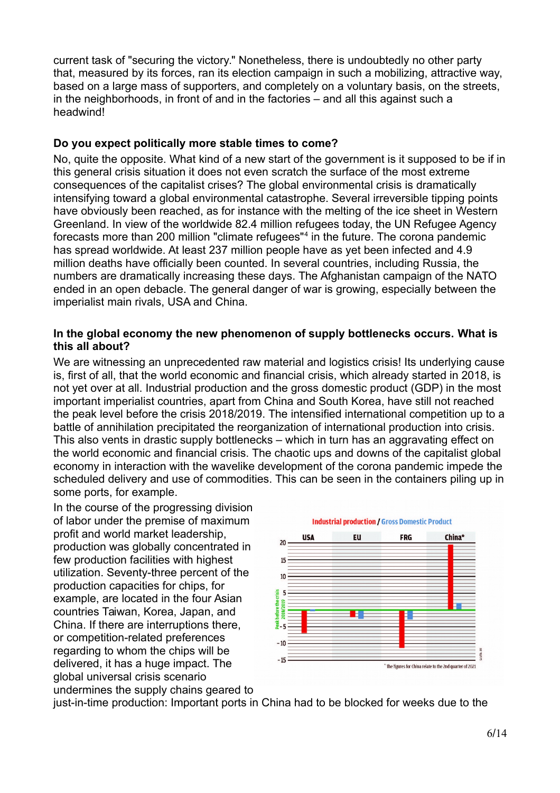current task of "securing the victory." Nonetheless, there is undoubtedly no other party that, measured by its forces, ran its election campaign in such a mobilizing, attractive way, based on a large mass of supporters, and completely on a voluntary basis, on the streets, in the neighborhoods, in front of and in the factories – and all this against such a headwind!

## **Do you expect politically more stable times to come?**

No, quite the opposite. What kind of a new start of the government is it supposed to be if in this general crisis situation it does not even scratch the surface of the most extreme consequences of the capitalist crises? The global environmental crisis is dramatically intensifying toward a global environmental catastrophe. Several irreversible tipping points have obviously been reached, as for instance with the melting of the ice sheet in Western Greenland. In view of the worldwide 82.4 million refugees today, the UN Refugee Agency forecasts more than 200 million "climate refugees"<sup>4</sup> in the future. The corona pandemic has spread worldwide. At least 237 million people have as yet been infected and 4.9 million deaths have officially been counted. In several countries, including Russia, the numbers are dramatically increasing these days. The Afghanistan campaign of the NATO ended in an open debacle. The general danger of war is growing, especially between the imperialist main rivals, USA and China.

## **In the global economy the new phenomenon of supply bottlenecks occurs. What is this all about?**

We are witnessing an unprecedented raw material and logistics crisis! Its underlying cause is, first of all, that the world economic and financial crisis, which already started in 2018, is not yet over at all. Industrial production and the gross domestic product (GDP) in the most important imperialist countries, apart from China and South Korea, have still not reached the peak level before the crisis 2018/2019. The intensified international competition up to a battle of annihilation precipitated the reorganization of international production into crisis. This also vents in drastic supply bottlenecks – which in turn has an aggravating effect on the world economic and financial crisis. The chaotic ups and downs of the capitalist global economy in interaction with the wavelike development of the corona pandemic impede the scheduled delivery and use of commodities. This can be seen in the containers piling up in some ports, for example.

In the course of the progressing division of labor under the premise of maximum profit and world market leadership, production was globally concentrated in few production facilities with highest utilization. Seventy-three percent of the production capacities for chips, for example, are located in the four Asian countries Taiwan, Korea, Japan, and China. If there are interruptions there, or competition-related preferences regarding to whom the chips will be delivered, it has a huge impact. The global universal crisis scenario undermines the supply chains geared to



just-in-time production: Important ports in China had to be blocked for weeks due to the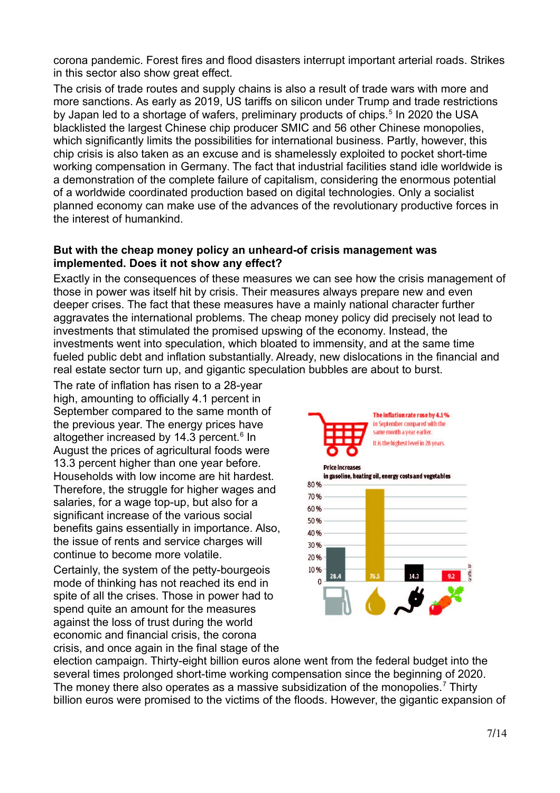corona pandemic. Forest fires and flood disasters interrupt important arterial roads. Strikes in this sector also show great effect.

The crisis of trade routes and supply chains is also a result of trade wars with more and more sanctions. As early as 2019, US tariffs on silicon under Trump and trade restrictions by Japan led to a shortage of wafers, preliminary products of chips.<sup>5</sup> In 2020 the USA blacklisted the largest Chinese chip producer SMIC and 56 other Chinese monopolies, which significantly limits the possibilities for international business. Partly, however, this chip crisis is also taken as an excuse and is shamelessly exploited to pocket short-time working compensation in Germany. The fact that industrial facilities stand idle worldwide is a demonstration of the complete failure of capitalism, considering the enormous potential of a worldwide coordinated production based on digital technologies. Only a socialist planned economy can make use of the advances of the revolutionary productive forces in the interest of humankind.

## **But with the cheap money policy an unheard-of crisis management was implemented. Does it not show any effect?**

Exactly in the consequences of these measures we can see how the crisis management of those in power was itself hit by crisis. Their measures always prepare new and even deeper crises. The fact that these measures have a mainly national character further aggravates the international problems. The cheap money policy did precisely not lead to investments that stimulated the promised upswing of the economy. Instead, the investments went into speculation, which bloated to immensity, and at the same time fueled public debt and inflation substantially. Already, new dislocations in the financial and real estate sector turn up, and gigantic speculation bubbles are about to burst.

The rate of inflation has risen to a 28-year high, amounting to officially 4.1 percent in September compared to the same month of the previous year. The energy prices have altogether increased by 14.3 percent.<sup>6</sup> In August the prices of agricultural foods were 13.3 percent higher than one year before. Households with low income are hit hardest. Therefore, the struggle for higher wages and salaries, for a wage top-up, but also for a significant increase of the various social benefits gains essentially in importance. Also, the issue of rents and service charges will continue to become more volatile.

Certainly, the system of the petty-bourgeois mode of thinking has not reached its end in spite of all the crises. Those in power had to spend quite an amount for the measures against the loss of trust during the world economic and financial crisis, the corona crisis, and once again in the final stage of the



election campaign. Thirty-eight billion euros alone went from the federal budget into the several times prolonged short-time working compensation since the beginning of 2020. The money there also operates as a massive subsidization of the monopolies.<sup>7</sup> Thirty billion euros were promised to the victims of the floods. However, the gigantic expansion of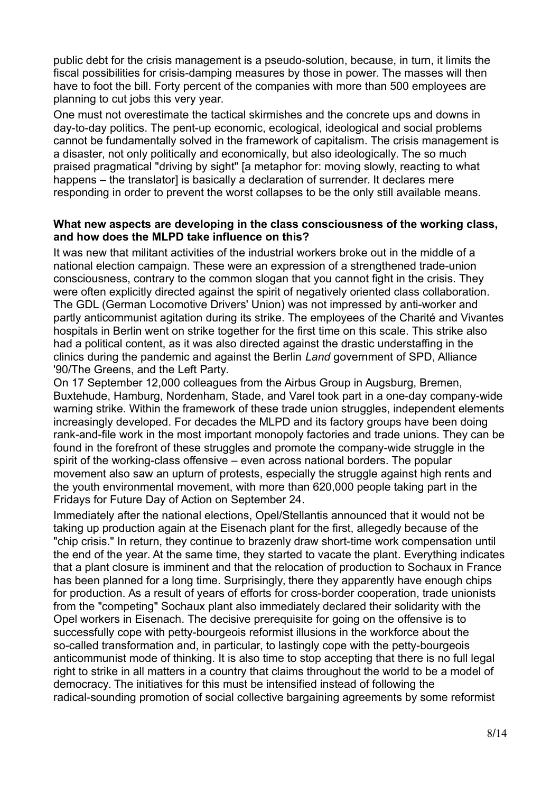public debt for the crisis management is a pseudo-solution, because, in turn, it limits the fiscal possibilities for crisis-damping measures by those in power. The masses will then have to foot the bill. Forty percent of the companies with more than 500 employees are planning to cut jobs this very year.

One must not overestimate the tactical skirmishes and the concrete ups and downs in day-to-day politics. The pent-up economic, ecological, ideological and social problems cannot be fundamentally solved in the framework of capitalism. The crisis management is a disaster, not only politically and economically, but also ideologically. The so much praised pragmatical "driving by sight" [a metaphor for: moving slowly, reacting to what happens – the translator] is basically a declaration of surrender. It declares mere responding in order to prevent the worst collapses to be the only still available means.

#### **What new aspects are developing in the class consciousness of the working class, and how does the MLPD take influence on this?**

It was new that militant activities of the industrial workers broke out in the middle of a national election campaign. These were an expression of a strengthened trade-union consciousness, contrary to the common slogan that you cannot fight in the crisis. They were often explicitly directed against the spirit of negatively oriented class collaboration. The GDL (German Locomotive Drivers' Union) was not impressed by anti-worker and partly anticommunist agitation during its strike. The employees of the Charité and Vivantes hospitals in Berlin went on strike together for the first time on this scale. This strike also had a political content, as it was also directed against the drastic understaffing in the clinics during the pandemic and against the Berlin *Land* government of SPD, Alliance '90/The Greens, and the Left Party.

On 17 September 12,000 colleagues from the Airbus Group in Augsburg, Bremen, Buxtehude, Hamburg, Nordenham, Stade, and Varel took part in a one-day company-wide warning strike. Within the framework of these trade union struggles, independent elements increasingly developed. For decades the MLPD and its factory groups have been doing rank-and-file work in the most important monopoly factories and trade unions. They can be found in the forefront of these struggles and promote the company-wide struggle in the spirit of the working-class offensive – even across national borders. The popular movement also saw an upturn of protests, especially the struggle against high rents and the youth environmental movement, with more than 620,000 people taking part in the Fridays for Future Day of Action on September 24.

Immediately after the national elections, Opel/Stellantis announced that it would not be taking up production again at the Eisenach plant for the first, allegedly because of the "chip crisis." In return, they continue to brazenly draw short-time work compensation until the end of the year. At the same time, they started to vacate the plant. Everything indicates that a plant closure is imminent and that the relocation of production to Sochaux in France has been planned for a long time. Surprisingly, there they apparently have enough chips for production. As a result of years of efforts for cross-border cooperation, trade unionists from the "competing" Sochaux plant also immediately declared their solidarity with the Opel workers in Eisenach. The decisive prerequisite for going on the offensive is to successfully cope with petty-bourgeois reformist illusions in the workforce about the so-called transformation and, in particular, to lastingly cope with the petty-bourgeois anticommunist mode of thinking. It is also time to stop accepting that there is no full legal right to strike in all matters in a country that claims throughout the world to be a model of democracy. The initiatives for this must be intensified instead of following the radical-sounding promotion of social collective bargaining agreements by some reformist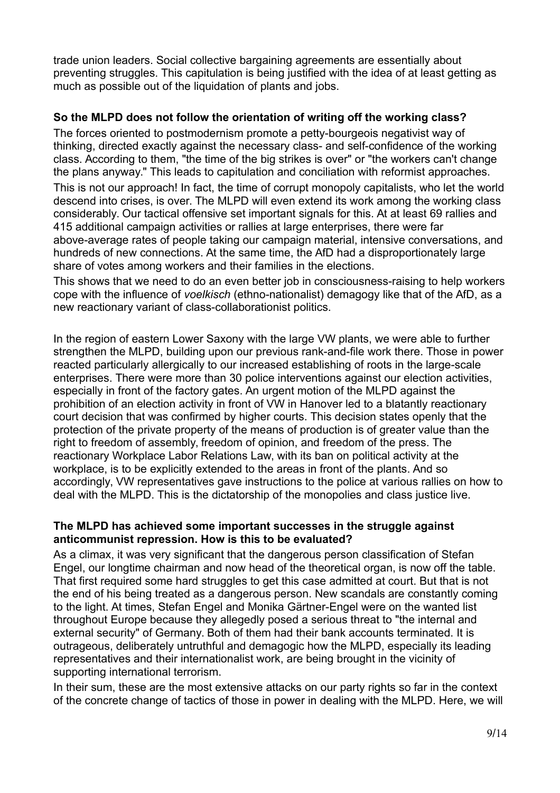trade union leaders. Social collective bargaining agreements are essentially about preventing struggles. This capitulation is being justified with the idea of at least getting as much as possible out of the liquidation of plants and jobs.

## **So the MLPD does not follow the orientation of writing off the working class?**

The forces oriented to postmodernism promote a petty-bourgeois negativist way of thinking, directed exactly against the necessary class- and self-confidence of the working class. According to them, "the time of the big strikes is over" or "the workers can't change the plans anyway." This leads to capitulation and conciliation with reformist approaches.

This is not our approach! In fact, the time of corrupt monopoly capitalists, who let the world descend into crises, is over. The MLPD will even extend its work among the working class considerably. Our tactical offensive set important signals for this. At at least 69 rallies and 415 additional campaign activities or rallies at large enterprises, there were far above-average rates of people taking our campaign material, intensive conversations, and hundreds of new connections. At the same time, the AfD had a disproportionately large share of votes among workers and their families in the elections.

This shows that we need to do an even better job in consciousness-raising to help workers cope with the influence of *voelkisch* (ethno-nationalist) demagogy like that of the AfD, as a new reactionary variant of class-collaborationist politics.

In the region of eastern Lower Saxony with the large VW plants, we were able to further strengthen the MLPD, building upon our previous rank-and-file work there. Those in power reacted particularly allergically to our increased establishing of roots in the large-scale enterprises. There were more than 30 police interventions against our election activities, especially in front of the factory gates. An urgent motion of the MLPD against the prohibition of an election activity in front of VW in Hanover led to a blatantly reactionary court decision that was confirmed by higher courts. This decision states openly that the protection of the private property of the means of production is of greater value than the right to freedom of assembly, freedom of opinion, and freedom of the press. The reactionary Workplace Labor Relations Law, with its ban on political activity at the workplace, is to be explicitly extended to the areas in front of the plants. And so accordingly, VW representatives gave instructions to the police at various rallies on how to deal with the MLPD. This is the dictatorship of the monopolies and class justice live.

## **The MLPD has achieved some important successes in the struggle against anticommunist repression. How is this to be evaluated?**

As a climax, it was very significant that the dangerous person classification of Stefan Engel, our longtime chairman and now head of the theoretical organ, is now off the table. That first required some hard struggles to get this case admitted at court. But that is not the end of his being treated as a dangerous person. New scandals are constantly coming to the light. At times, Stefan Engel and Monika Gärtner-Engel were on the wanted list throughout Europe because they allegedly posed a serious threat to "the internal and external security" of Germany. Both of them had their bank accounts terminated. It is outrageous, deliberately untruthful and demagogic how the MLPD, especially its leading representatives and their internationalist work, are being brought in the vicinity of supporting international terrorism.

In their sum, these are the most extensive attacks on our party rights so far in the context of the concrete change of tactics of those in power in dealing with the MLPD. Here, we will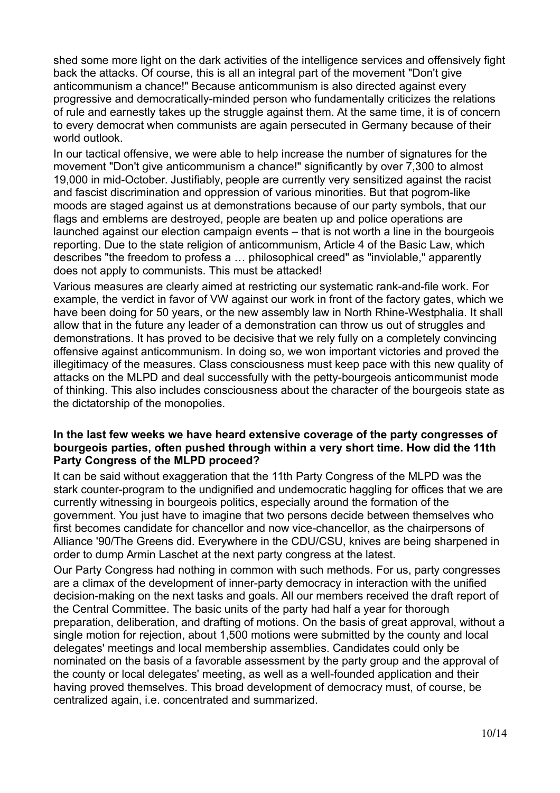shed some more light on the dark activities of the intelligence services and offensively fight back the attacks. Of course, this is all an integral part of the movement "Don't give anticommunism a chance!" Because anticommunism is also directed against every progressive and democratically-minded person who fundamentally criticizes the relations of rule and earnestly takes up the struggle against them. At the same time, it is of concern to every democrat when communists are again persecuted in Germany because of their world outlook.

In our tactical offensive, we were able to help increase the number of signatures for the movement "Don't give anticommunism a chance!" significantly by over 7,300 to almost 19,000 in mid-October. Justifiably, people are currently very sensitized against the racist and fascist discrimination and oppression of various minorities. But that pogrom-like moods are staged against us at demonstrations because of our party symbols, that our flags and emblems are destroyed, people are beaten up and police operations are launched against our election campaign events – that is not worth a line in the bourgeois reporting. Due to the state religion of anticommunism, Article 4 of the Basic Law, which describes "the freedom to profess a … philosophical creed" as "inviolable," apparently does not apply to communists. This must be attacked!

Various measures are clearly aimed at restricting our systematic rank-and-file work. For example, the verdict in favor of VW against our work in front of the factory gates, which we have been doing for 50 years, or the new assembly law in North Rhine-Westphalia. It shall allow that in the future any leader of a demonstration can throw us out of struggles and demonstrations. It has proved to be decisive that we rely fully on a completely convincing offensive against anticommunism. In doing so, we won important victories and proved the illegitimacy of the measures. Class consciousness must keep pace with this new quality of attacks on the MLPD and deal successfully with the petty-bourgeois anticommunist mode of thinking. This also includes consciousness about the character of the bourgeois state as the dictatorship of the monopolies.

## **In the last few weeks we have heard extensive coverage of the party congresses of bourgeois parties, often pushed through within a very short time. How did the 11th Party Congress of the MLPD proceed?**

It can be said without exaggeration that the 11th Party Congress of the MLPD was the stark counter-program to the undignified and undemocratic haggling for offices that we are currently witnessing in bourgeois politics, especially around the formation of the government. You just have to imagine that two persons decide between themselves who first becomes candidate for chancellor and now vice-chancellor, as the chairpersons of Alliance '90/The Greens did. Everywhere in the CDU/CSU, knives are being sharpened in order to dump Armin Laschet at the next party congress at the latest.

Our Party Congress had nothing in common with such methods. For us, party congresses are a climax of the development of inner-party democracy in interaction with the unified decision-making on the next tasks and goals. All our members received the draft report of the Central Committee. The basic units of the party had half a year for thorough preparation, deliberation, and drafting of motions. On the basis of great approval, without a single motion for rejection, about 1,500 motions were submitted by the county and local delegates' meetings and local membership assemblies. Candidates could only be nominated on the basis of a favorable assessment by the party group and the approval of the county or local delegates' meeting, as well as a well-founded application and their having proved themselves. This broad development of democracy must, of course, be centralized again, i.e. concentrated and summarized.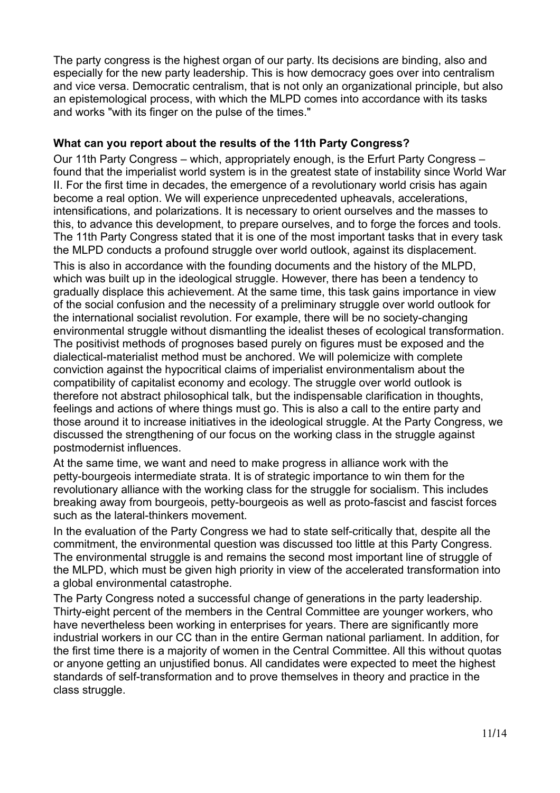The party congress is the highest organ of our party. Its decisions are binding, also and especially for the new party leadership. This is how democracy goes over into centralism and vice versa. Democratic centralism, that is not only an organizational principle, but also an epistemological process, with which the MLPD comes into accordance with its tasks and works "with its finger on the pulse of the times."

## **What can you report about the results of the 11th Party Congress?**

Our 11th Party Congress – which, appropriately enough, is the Erfurt Party Congress – found that the imperialist world system is in the greatest state of instability since World War II. For the first time in decades, the emergence of a revolutionary world crisis has again become a real option. We will experience unprecedented upheavals, accelerations, intensifications, and polarizations. It is necessary to orient ourselves and the masses to this, to advance this development, to prepare ourselves, and to forge the forces and tools. The 11th Party Congress stated that it is one of the most important tasks that in every task the MLPD conducts a profound struggle over world outlook, against its displacement. This is also in accordance with the founding documents and the history of the MLPD, which was built up in the ideological struggle. However, there has been a tendency to gradually displace this achievement. At the same time, this task gains importance in view of the social confusion and the necessity of a preliminary struggle over world outlook for the international socialist revolution. For example, there will be no society-changing environmental struggle without dismantling the idealist theses of ecological transformation. The positivist methods of prognoses based purely on figures must be exposed and the dialectical-materialist method must be anchored. We will polemicize with complete conviction against the hypocritical claims of imperialist environmentalism about the compatibility of capitalist economy and ecology. The struggle over world outlook is therefore not abstract philosophical talk, but the indispensable clarification in thoughts, feelings and actions of where things must go. This is also a call to the entire party and those around it to increase initiatives in the ideological struggle. At the Party Congress, we discussed the strengthening of our focus on the working class in the struggle against postmodernist influences.

At the same time, we want and need to make progress in alliance work with the petty-bourgeois intermediate strata. It is of strategic importance to win them for the revolutionary alliance with the working class for the struggle for socialism. This includes breaking away from bourgeois, petty-bourgeois as well as proto-fascist and fascist forces such as the lateral-thinkers movement.

In the evaluation of the Party Congress we had to state self-critically that, despite all the commitment, the environmental question was discussed too little at this Party Congress. The environmental struggle is and remains the second most important line of struggle of the MLPD, which must be given high priority in view of the accelerated transformation into a global environmental catastrophe.

The Party Congress noted a successful change of generations in the party leadership. Thirty-eight percent of the members in the Central Committee are younger workers, who have nevertheless been working in enterprises for years. There are significantly more industrial workers in our CC than in the entire German national parliament. In addition, for the first time there is a majority of women in the Central Committee. All this without quotas or anyone getting an unjustified bonus. All candidates were expected to meet the highest standards of self-transformation and to prove themselves in theory and practice in the class struggle.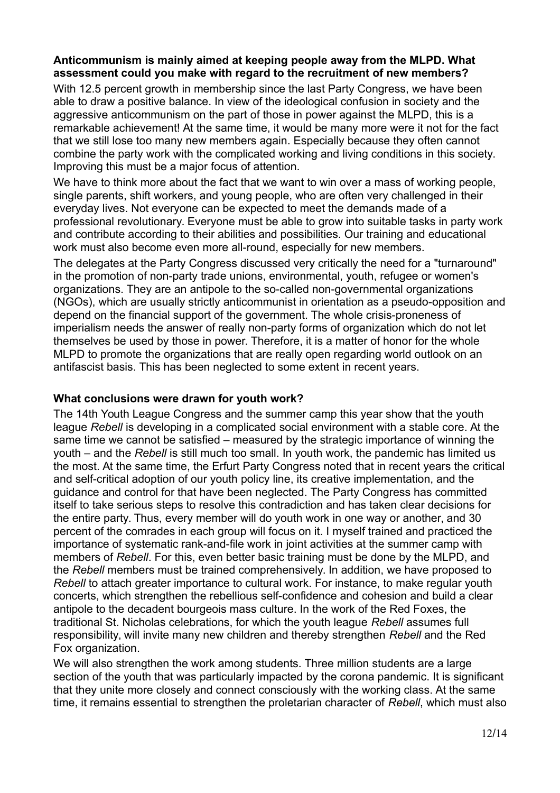#### **Anticommunism is mainly aimed at keeping people away from the MLPD. What assessment could you make with regard to the recruitment of new members?**

With 12.5 percent growth in membership since the last Party Congress, we have been able to draw a positive balance. In view of the ideological confusion in society and the aggressive anticommunism on the part of those in power against the MLPD, this is a remarkable achievement! At the same time, it would be many more were it not for the fact that we still lose too many new members again. Especially because they often cannot combine the party work with the complicated working and living conditions in this society. Improving this must be a major focus of attention.

We have to think more about the fact that we want to win over a mass of working people. single parents, shift workers, and young people, who are often very challenged in their everyday lives. Not everyone can be expected to meet the demands made of a professional revolutionary. Everyone must be able to grow into suitable tasks in party work and contribute according to their abilities and possibilities. Our training and educational work must also become even more all-round, especially for new members.

The delegates at the Party Congress discussed very critically the need for a "turnaround" in the promotion of non-party trade unions, environmental, youth, refugee or women's organizations. They are an antipole to the so-called non-governmental organizations (NGOs), which are usually strictly anticommunist in orientation as a pseudo-opposition and depend on the financial support of the government. The whole crisis-proneness of imperialism needs the answer of really non-party forms of organization which do not let themselves be used by those in power. Therefore, it is a matter of honor for the whole MLPD to promote the organizations that are really open regarding world outlook on an antifascist basis. This has been neglected to some extent in recent years.

## **What conclusions were drawn for youth work?**

The 14th Youth League Congress and the summer camp this year show that the youth league *Rebell* is developing in a complicated social environment with a stable core. At the same time we cannot be satisfied – measured by the strategic importance of winning the youth – and the *Rebell* is still much too small. In youth work, the pandemic has limited us the most. At the same time, the Erfurt Party Congress noted that in recent years the critical and self-critical adoption of our youth policy line, its creative implementation, and the guidance and control for that have been neglected. The Party Congress has committed itself to take serious steps to resolve this contradiction and has taken clear decisions for the entire party. Thus, every member will do youth work in one way or another, and 30 percent of the comrades in each group will focus on it. I myself trained and practiced the importance of systematic rank-and-file work in joint activities at the summer camp with members of *Rebell*. For this, even better basic training must be done by the MLPD, and the *Rebell* members must be trained comprehensively. In addition, we have proposed to *Rebell* to attach greater importance to cultural work. For instance, to make regular youth concerts, which strengthen the rebellious self-confidence and cohesion and build a clear antipole to the decadent bourgeois mass culture. In the work of the Red Foxes, the traditional St. Nicholas celebrations, for which the youth league *Rebell* assumes full responsibility, will invite many new children and thereby strengthen *Rebell* and the Red Fox organization.

We will also strengthen the work among students. Three million students are a large section of the youth that was particularly impacted by the corona pandemic. It is significant that they unite more closely and connect consciously with the working class. At the same time, it remains essential to strengthen the proletarian character of *Rebell*, which must also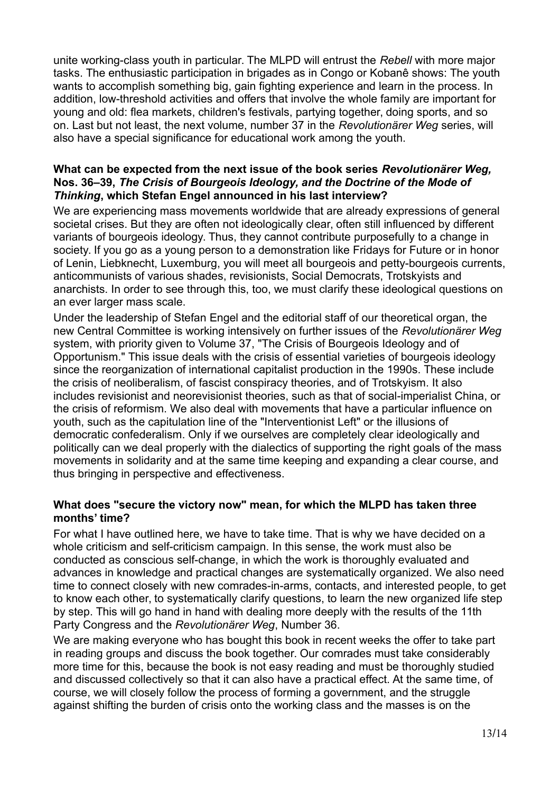unite working-class youth in particular. The MLPD will entrust the *Rebell* with more major tasks. The enthusiastic participation in brigades as in Congo or Kobanê shows: The youth wants to accomplish something big, gain fighting experience and learn in the process. In addition, low-threshold activities and offers that involve the whole family are important for young and old: flea markets, children's festivals, partying together, doing sports, and so on. Last but not least, the next volume, number 37 in the *Revolutionärer Weg* series, will also have a special significance for educational work among the youth.

## **What can be expected from the next issue of the book series** *Revolutionärer Weg,* **Nos. 36–39,** *The Crisis of Bourgeois Ideology, and the Doctrine of the Mode of Thinking***, which Stefan Engel announced in his last interview?**

We are experiencing mass movements worldwide that are already expressions of general societal crises. But they are often not ideologically clear, often still influenced by different variants of bourgeois ideology. Thus, they cannot contribute purposefully to a change in society. If you go as a young person to a demonstration like Fridays for Future or in honor of Lenin, Liebknecht, Luxemburg, you will meet all bourgeois and petty-bourgeois currents, anticommunists of various shades, revisionists, Social Democrats, Trotskyists and anarchists. In order to see through this, too, we must clarify these ideological questions on an ever larger mass scale.

Under the leadership of Stefan Engel and the editorial staff of our theoretical organ, the new Central Committee is working intensively on further issues of the *Revolutionärer Weg* system, with priority given to Volume 37, "The Crisis of Bourgeois Ideology and of Opportunism." This issue deals with the crisis of essential varieties of bourgeois ideology since the reorganization of international capitalist production in the 1990s. These include the crisis of neoliberalism, of fascist conspiracy theories, and of Trotskyism. It also includes revisionist and neorevisionist theories, such as that of social-imperialist China, or the crisis of reformism. We also deal with movements that have a particular influence on youth, such as the capitulation line of the "Interventionist Left" or the illusions of democratic confederalism. Only if we ourselves are completely clear ideologically and politically can we deal properly with the dialectics of supporting the right goals of the mass movements in solidarity and at the same time keeping and expanding a clear course, and thus bringing in perspective and effectiveness.

## **What does "secure the victory now" mean, for which the MLPD has taken three months' time?**

For what I have outlined here, we have to take time. That is why we have decided on a whole criticism and self-criticism campaign. In this sense, the work must also be conducted as conscious self-change, in which the work is thoroughly evaluated and advances in knowledge and practical changes are systematically organized. We also need time to connect closely with new comrades-in-arms, contacts, and interested people, to get to know each other, to systematically clarify questions, to learn the new organized life step by step. This will go hand in hand with dealing more deeply with the results of the 11th Party Congress and the *Revolutionärer Weg*, Number 36.

We are making everyone who has bought this book in recent weeks the offer to take part in reading groups and discuss the book together. Our comrades must take considerably more time for this, because the book is not easy reading and must be thoroughly studied and discussed collectively so that it can also have a practical effect. At the same time, of course, we will closely follow the process of forming a government, and the struggle against shifting the burden of crisis onto the working class and the masses is on the